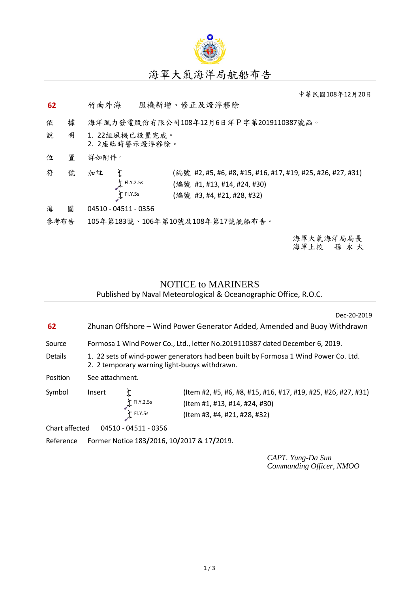

## 海軍大氣海洋局航船布告

中華民國108年12月20日

- 62 竹南外海 風機新增、修正及燈浮移除
- 依 據 海洋風力發電股份有限公司108年12月6日洋P字第2019110387號函。
- 說 明 1. 22組風機已設置完成。 2. 2座臨時警示燈浮移除。
- 位 置 詳如附件。
- 符 號 加註  $\updownarrow$  (編號 #2, #5, #6, #8, #15, #16, #17, #19, #25, #26, #27, #31) (編號 #1, #13, #14, #24, #30) (編號 #3, #4, #21, #28, #32) Fl.Y.2.5s Fl.Y.5s
- 海 圖 04510 04511 0356
- 參考布告 105年第183號、106年第10號及108年第17號航船布告。

海軍大氣海洋局局長 海軍上校 孫 永 大

## NOTICE to MARINERS

Published by Naval Meteorological & Oceanographic Office, R.O.C.

Dec-20-2019

- **62** Zhunan Offshore Wind Power Generator Added, Amended and Buoy Withdrawn
- Source Formosa 1 Wind Power Co., Ltd., letter No.2019110387 dated December 6, 2019.
- Details 1. 22 sets of wind-power generators had been built by Formosa 1 Wind Power Co. Ltd. 2. 2 temporary warning light-buoys withdrawn.
- Position See attachment.

| Symbol | Insert |                    | (Item #2, #5, #6, #8, #15, #16, #17, #19, #25, #26, #27, #31) |  |  |  |
|--------|--------|--------------------|---------------------------------------------------------------|--|--|--|
|        |        | 个 Fl.Y.2.5s<br>-0- | (Item #1, #13, #14, #24, #30)                                 |  |  |  |
|        |        | 个 Fl.Y.5s          | (Item #3, #4, #21, #28, #32)                                  |  |  |  |

Chart affected 04510 - 04511 - 0356

Reference Former Notice 183**/**2016, 10**/**2017 & 17**/**2019.

*CAPT. Yung-Da Sun Commanding Officer, NMOO*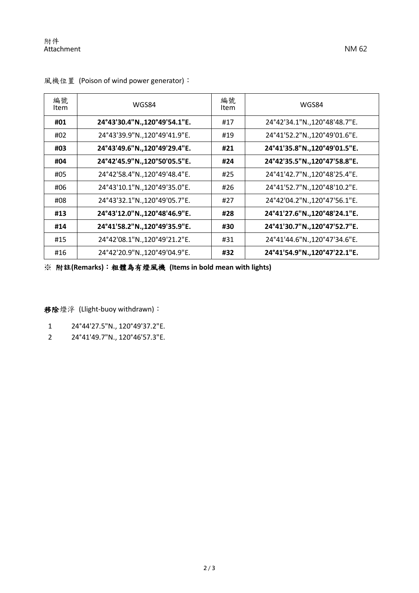| 編號<br>Item | WGS84                        | 編號<br>Item | WGS84                        |  |  |
|------------|------------------------------|------------|------------------------------|--|--|
| #01        | 24°43'30.4"N.,120°49'54.1"E. | #17        | 24°42'34.1"N.,120°48'48.7"E. |  |  |
| #02        | 24°43'39.9"N.,120°49'41.9"E. | #19        | 24°41'52.2"N.,120°49'01.6"E. |  |  |
| #03        | 24°43'49.6"N.,120°49'29.4"E. | #21        | 24°41'35.8"N.,120°49'01.5"E. |  |  |
| #04        | 24°42'45.9"N.,120°50'05.5"E. | #24        | 24°42'35.5"N.,120°47'58.8"E. |  |  |
| #05        | 24°42'58.4"N.,120°49'48.4"E. | #25        | 24°41'42.7"N.,120°48'25.4"E. |  |  |
| #06        | 24°43'10.1"N.,120°49'35.0"E. | #26        | 24°41'52.7"N.,120°48'10.2"E. |  |  |
| #08        | 24°43'32.1"N.,120°49'05.7"E. | #27        | 24°42'04.2"N.,120°47'56.1"E. |  |  |
| #13        | 24°43'12.0"N.,120°48'46.9"E. | #28        | 24°41'27.6"N.,120°48'24.1"E. |  |  |
| #14        | 24°41'58.2"N.,120°49'35.9"E. | #30        | 24°41'30.7"N.,120°47'52.7"E. |  |  |
| #15        | 24°42'08.1"N.,120°49'21.2"E. | #31        | 24°41'44.6"N.,120°47'34.6"E. |  |  |
| #16        | 24°42'20.9"N.,120°49'04.9"E. | #32        | 24°41'54.9"N.,120°47'22.1"E. |  |  |

風機位置 (Poison of wind power generator):

※ 附註**(Remarks)**:粗體為有燈風機 **(Items in bold mean with lights)**

移除燈浮 (Llight-buoy withdrawn):

- 1 24°44'27.5"N., 120°49'37.2"E.
- 2 24°41'49.7"N., 120°46'57.3"E.